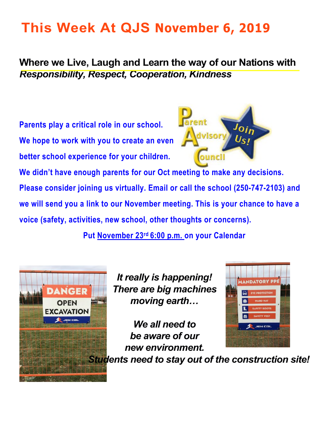# **This Week At QJS November 6, 2019**

**Where we Live, Laugh and Learn the way of our Nations with**  *Responsibility, Respect, Cooperation, Kindness* 

**Parents play a critical role in our school. We hope to work with you to create an even better school experience for your children.** 



**MANDATORY PP** 

**EYE PROTECTION** 

**We didn't have enough parents for our Oct meeting to make any decisions. Please consider joining us virtually. Email or call the school (250-747-2103) and we will send you a link to our November meeting. This is your chance to have a voice (safety, activities, new school, other thoughts or concerns).** 

**Put November 23rd 6:00 p.m. on your Calendar** 



*It really is happening! There are big machines moving earth…* 

*We all need to*  **JEN COL** *be aware of our new environment. Students need to stay out of the construction site!*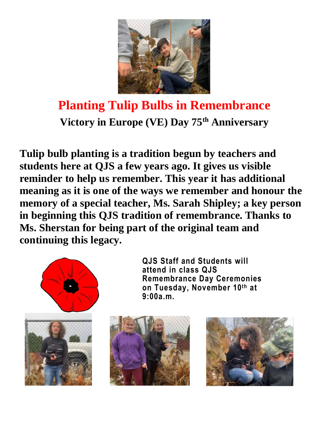

## **Planting Tulip Bulbs in Remembrance Victory in Europe (VE) Day 75th Anniversary**

**Tulip bulb planting is a tradition begun by teachers and students here at QJS a few years ago. It gives us visible reminder to help us remember. This year it has additional meaning as it is one of the ways we remember and honour the memory of a special teacher, Ms. Sarah Shipley; a key person in beginning this QJS tradition of remembrance. Thanks to Ms. Sherstan for being part of the original team and continuing this legacy.** 



**QJS Staff and Students will attend in class QJS Remembrance Day Ceremonies on Tuesday, November 10th at 9:00a.m.**



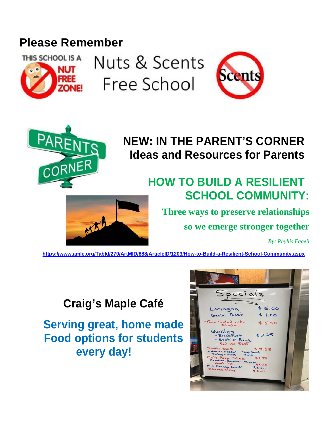### **Please Remember**



Nuts & Scents Free School





## **NEW: IN THE PARENT'S CORNER Ideas and Resources for Parents**

### **HOW TO BUILD A RESILIENT SCHOOL COMMUNITY:**



**so we emerge stronger together** 

*By: Phyllis Fagell*

**<https://www.amle.org/TabId/270/ArtMID/888/ArticleID/1203/How-to-Build-a-Resilient-School-Community.aspx>**

### **Craig's Maple Café**

**Serving great, home made Food options for students every day!** 

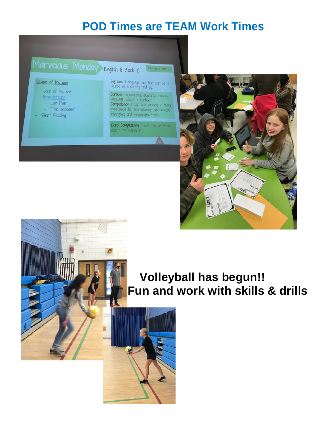#### **POD Times are TEAM Work Times**





### **Volleyball has begun!! Fun and work with skills & drills**